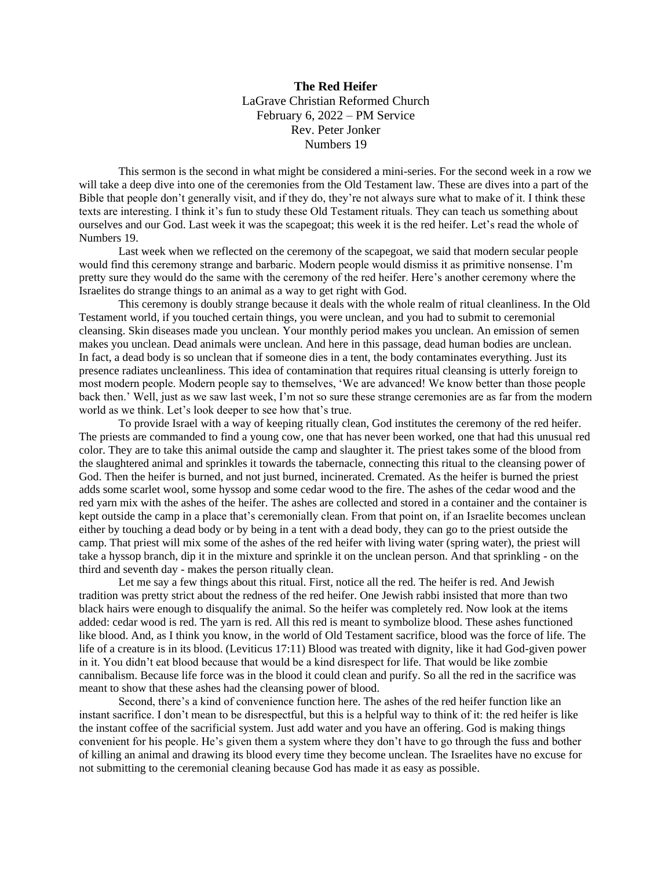**The Red Heifer** LaGrave Christian Reformed Church February 6, 2022 – PM Service Rev. Peter Jonker Numbers 19

This sermon is the second in what might be considered a mini-series. For the second week in a row we will take a deep dive into one of the ceremonies from the Old Testament law. These are dives into a part of the Bible that people don't generally visit, and if they do, they're not always sure what to make of it. I think these texts are interesting. I think it's fun to study these Old Testament rituals. They can teach us something about ourselves and our God. Last week it was the scapegoat; this week it is the red heifer. Let's read the whole of Numbers 19.

Last week when we reflected on the ceremony of the scapegoat, we said that modern secular people would find this ceremony strange and barbaric. Modern people would dismiss it as primitive nonsense. I'm pretty sure they would do the same with the ceremony of the red heifer. Here's another ceremony where the Israelites do strange things to an animal as a way to get right with God.

This ceremony is doubly strange because it deals with the whole realm of ritual cleanliness. In the Old Testament world, if you touched certain things, you were unclean, and you had to submit to ceremonial cleansing. Skin diseases made you unclean. Your monthly period makes you unclean. An emission of semen makes you unclean. Dead animals were unclean. And here in this passage, dead human bodies are unclean. In fact, a dead body is so unclean that if someone dies in a tent, the body contaminates everything. Just its presence radiates uncleanliness. This idea of contamination that requires ritual cleansing is utterly foreign to most modern people. Modern people say to themselves, 'We are advanced! We know better than those people back then.' Well, just as we saw last week, I'm not so sure these strange ceremonies are as far from the modern world as we think. Let's look deeper to see how that's true.

To provide Israel with a way of keeping ritually clean, God institutes the ceremony of the red heifer. The priests are commanded to find a young cow, one that has never been worked, one that had this unusual red color. They are to take this animal outside the camp and slaughter it. The priest takes some of the blood from the slaughtered animal and sprinkles it towards the tabernacle, connecting this ritual to the cleansing power of God. Then the heifer is burned, and not just burned, incinerated. Cremated. As the heifer is burned the priest adds some scarlet wool, some hyssop and some cedar wood to the fire. The ashes of the cedar wood and the red yarn mix with the ashes of the heifer. The ashes are collected and stored in a container and the container is kept outside the camp in a place that's ceremonially clean. From that point on, if an Israelite becomes unclean either by touching a dead body or by being in a tent with a dead body, they can go to the priest outside the camp. That priest will mix some of the ashes of the red heifer with living water (spring water), the priest will take a hyssop branch, dip it in the mixture and sprinkle it on the unclean person. And that sprinkling - on the third and seventh day - makes the person ritually clean.

Let me say a few things about this ritual. First, notice all the red. The heifer is red. And Jewish tradition was pretty strict about the redness of the red heifer. One Jewish rabbi insisted that more than two black hairs were enough to disqualify the animal. So the heifer was completely red. Now look at the items added: cedar wood is red. The yarn is red. All this red is meant to symbolize blood. These ashes functioned like blood. And, as I think you know, in the world of Old Testament sacrifice, blood was the force of life. The life of a creature is in its blood. (Leviticus 17:11) Blood was treated with dignity, like it had God-given power in it. You didn't eat blood because that would be a kind disrespect for life. That would be like zombie cannibalism. Because life force was in the blood it could clean and purify. So all the red in the sacrifice was meant to show that these ashes had the cleansing power of blood.

Second, there's a kind of convenience function here. The ashes of the red heifer function like an instant sacrifice. I don't mean to be disrespectful, but this is a helpful way to think of it: the red heifer is like the instant coffee of the sacrificial system. Just add water and you have an offering. God is making things convenient for his people. He's given them a system where they don't have to go through the fuss and bother of killing an animal and drawing its blood every time they become unclean. The Israelites have no excuse for not submitting to the ceremonial cleaning because God has made it as easy as possible.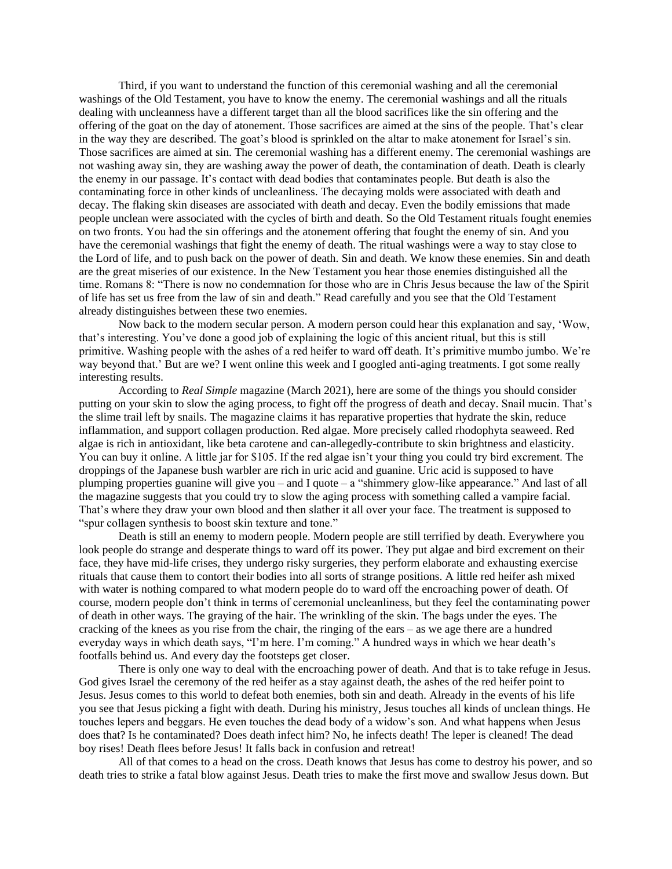Third, if you want to understand the function of this ceremonial washing and all the ceremonial washings of the Old Testament, you have to know the enemy. The ceremonial washings and all the rituals dealing with uncleanness have a different target than all the blood sacrifices like the sin offering and the offering of the goat on the day of atonement. Those sacrifices are aimed at the sins of the people. That's clear in the way they are described. The goat's blood is sprinkled on the altar to make atonement for Israel's sin. Those sacrifices are aimed at sin. The ceremonial washing has a different enemy. The ceremonial washings are not washing away sin, they are washing away the power of death, the contamination of death. Death is clearly the enemy in our passage. It's contact with dead bodies that contaminates people. But death is also the contaminating force in other kinds of uncleanliness. The decaying molds were associated with death and decay. The flaking skin diseases are associated with death and decay. Even the bodily emissions that made people unclean were associated with the cycles of birth and death. So the Old Testament rituals fought enemies on two fronts. You had the sin offerings and the atonement offering that fought the enemy of sin. And you have the ceremonial washings that fight the enemy of death. The ritual washings were a way to stay close to the Lord of life, and to push back on the power of death. Sin and death. We know these enemies. Sin and death are the great miseries of our existence. In the New Testament you hear those enemies distinguished all the time. Romans 8: "There is now no condemnation for those who are in Chris Jesus because the law of the Spirit of life has set us free from the law of sin and death." Read carefully and you see that the Old Testament already distinguishes between these two enemies.

Now back to the modern secular person. A modern person could hear this explanation and say, 'Wow, that's interesting. You've done a good job of explaining the logic of this ancient ritual, but this is still primitive. Washing people with the ashes of a red heifer to ward off death. It's primitive mumbo jumbo. We're way beyond that.' But are we? I went online this week and I googled anti-aging treatments. I got some really interesting results.

According to *Real Simple* magazine (March 2021), here are some of the things you should consider putting on your skin to slow the aging process, to fight off the progress of death and decay. Snail mucin. That's the slime trail left by snails. The magazine claims it has reparative properties that hydrate the skin, reduce inflammation, and support collagen production. Red algae. More precisely called rhodophyta seaweed. Red algae is rich in antioxidant, like beta carotene and can-allegedly-contribute to skin brightness and elasticity. You can buy it online. A little jar for \$105. If the red algae isn't your thing you could try bird excrement. The droppings of the Japanese bush warbler are rich in uric acid and guanine. Uric acid is supposed to have plumping properties guanine will give you – and I quote – a "shimmery glow-like appearance." And last of all the magazine suggests that you could try to slow the aging process with something called a vampire facial. That's where they draw your own blood and then slather it all over your face. The treatment is supposed to "spur collagen synthesis to boost skin texture and tone."

Death is still an enemy to modern people. Modern people are still terrified by death. Everywhere you look people do strange and desperate things to ward off its power. They put algae and bird excrement on their face, they have mid-life crises, they undergo risky surgeries, they perform elaborate and exhausting exercise rituals that cause them to contort their bodies into all sorts of strange positions. A little red heifer ash mixed with water is nothing compared to what modern people do to ward off the encroaching power of death. Of course, modern people don't think in terms of ceremonial uncleanliness, but they feel the contaminating power of death in other ways. The graying of the hair. The wrinkling of the skin. The bags under the eyes. The cracking of the knees as you rise from the chair, the ringing of the ears – as we age there are a hundred everyday ways in which death says, "I'm here. I'm coming." A hundred ways in which we hear death's footfalls behind us. And every day the footsteps get closer.

There is only one way to deal with the encroaching power of death. And that is to take refuge in Jesus. God gives Israel the ceremony of the red heifer as a stay against death, the ashes of the red heifer point to Jesus. Jesus comes to this world to defeat both enemies, both sin and death. Already in the events of his life you see that Jesus picking a fight with death. During his ministry, Jesus touches all kinds of unclean things. He touches lepers and beggars. He even touches the dead body of a widow's son. And what happens when Jesus does that? Is he contaminated? Does death infect him? No, he infects death! The leper is cleaned! The dead boy rises! Death flees before Jesus! It falls back in confusion and retreat!

All of that comes to a head on the cross. Death knows that Jesus has come to destroy his power, and so death tries to strike a fatal blow against Jesus. Death tries to make the first move and swallow Jesus down. But